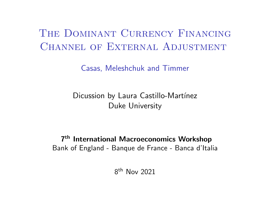# The Dominant Currency Financing CHANNEL OF EXTERNAL ADJUSTMENT

Casas, Meleshchuk and Timmer

Dicussion by Laura Castillo-Martínez Duke University

7 th International Macroeconomics Workshop Bank of England - Banque de France - Banca d'Italia

8 th Nov 2021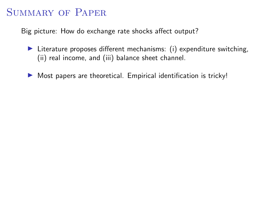#### SUMMARY OF PAPER

Big picture: How do exchange rate shocks affect output?

- $\blacktriangleright$  Literature proposes different mechanisms: (i) expenditure switching, (ii) real income, and (iii) balance sheet channel.
- $\triangleright$  Most papers are theoretical. Empirical identification is tricky!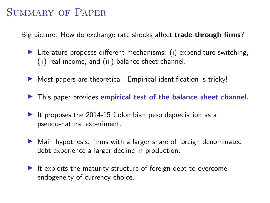### SUMMARY OF PAPER

Big picture: How do exchange rate shocks affect **trade through firms**?

- $\blacktriangleright$  Literature proposes different mechanisms: (i) expenditure switching, (ii) real income, and (iii) balance sheet channel.
- $\triangleright$  Most papers are theoretical. Empirical identification is tricky!
- $\blacktriangleright$  This paper provides empirical test of the balance sheet channel.
- It proposes the 2014-15 Colombian peso depreciation as a pseudo-natural experiment.
- $\blacktriangleright$  Main hypothesis: firms with a larger share of foreign denominated debt experience a larger decline in production.
- $\blacktriangleright$  It exploits the maturity structure of foreign debt to overcome endogeneity of currency choice.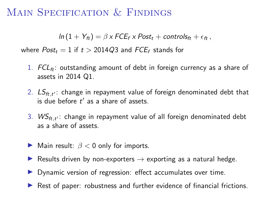#### MAIN SPECIFICATION & FINDINGS

 $ln(1 + Y_{\theta}) = \beta \times FCE_f \times Post_t + controls_{\theta} + \epsilon_{\theta}$ ,

where  $Post_t = 1$  if  $t > 2014Q3$  and  $FCE_f$  stands for

- 1.  $FCL<sub>f</sub>$ : outstanding amount of debt in foreign currency as a share of assets in 2014 Q1.
- 2.  $\mathit{LS}_{ft,t'}$ : change in repayment value of foreign denominated debt that is due before  $t'$  as a share of assets.
- 3.  $\mathsf{WS}_{\mathsf{ft},\mathsf{t}'}$ : change in repayment value of all foreign denominated debt as a share of assets.
- $\triangleright$  Main result:  $\beta$  < 0 only for imports.
- **E** Results driven by non-exporters  $\rightarrow$  exporting as a natural hedge.
- $\blacktriangleright$  Dynamic version of regression: effect accumulates over time.
- $\blacktriangleright$  Rest of paper: robustness and further evidence of financial frictions.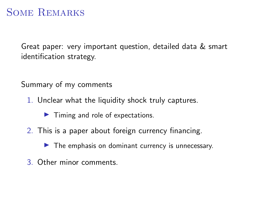### Some Remarks

Great paper: very important question, detailed data & smart identification strategy.

Summary of my comments

1. Unclear what the liquidity shock truly captures.

 $\blacktriangleright$  Timing and role of expectations.

2. This is a paper about foreign currency financing.

 $\blacktriangleright$  The emphasis on dominant currency is unnecessary.

3. Other minor comments.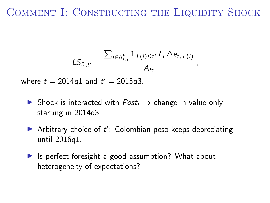## COMMENT I: CONSTRUCTING THE LIQUIDITY SHOCK

$$
LS_{ft,t'} = \frac{\sum_{i \in \Lambda_{f,t}^F} 1_{\tau(i) \leq t'} L_i \Delta e_{t,\tau(i)}}{A_{ft}},
$$

where  $t = 2014q1$  and  $t' = 2015q3$ .

- $\triangleright$  Shock is interacted with  $Post_t \rightarrow$  change in value only starting in 2014q3.
- Arbitrary choice of  $t'$ : Colombian peso keeps depreciating until 2016q1.
- $\blacktriangleright$  Is perfect foresight a good assumption? What about heterogeneity of expectations?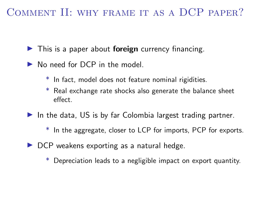## COMMENT II: WHY FRAME IT AS A DCP PAPER?

- $\blacktriangleright$  This is a paper about foreign currency financing.
- $\triangleright$  No need for DCP in the model.
	- \* In fact, model does not feature nominal rigidities.
	- \* Real exchange rate shocks also generate the balance sheet effect.
- $\blacktriangleright$  In the data, US is by far Colombia largest trading partner.
	- \* In the aggregate, closer to LCP for imports, PCP for exports.
- $\triangleright$  DCP weakens exporting as a natural hedge.
	- \* Depreciation leads to a negligible impact on export quantity.